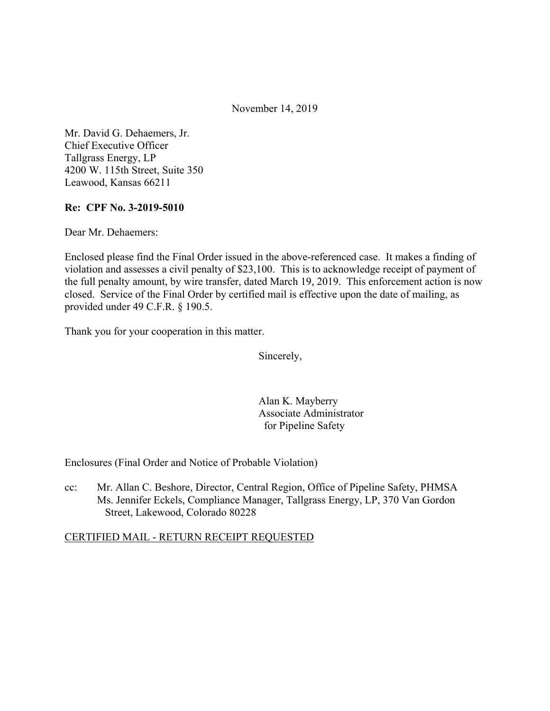November 14, 2019

Mr. David G. Dehaemers, Jr. Chief Executive Officer Tallgrass Energy, LP 4200 W. 115th Street, Suite 350 Leawood, Kansas 66211

## **Re: CPF No. 3-2019-5010**

Dear Mr. Dehaemers:

Enclosed please find the Final Order issued in the above-referenced case. It makes a finding of violation and assesses a civil penalty of \$23,100. This is to acknowledge receipt of payment of the full penalty amount, by wire transfer, dated March 19, 2019. This enforcement action is now closed. Service of the Final Order by certified mail is effective upon the date of mailing, as provided under 49 C.F.R. § 190.5.

Thank you for your cooperation in this matter.

Sincerely,

Alan K. Mayberry Associate Administrator for Pipeline Safety

Enclosures (Final Order and Notice of Probable Violation)

cc: Mr. Allan C. Beshore, Director, Central Region, Office of Pipeline Safety, PHMSA Ms. Jennifer Eckels, Compliance Manager, Tallgrass Energy, LP, 370 Van Gordon Street, Lakewood, Colorado 80228

## CERTIFIED MAIL - RETURN RECEIPT REQUESTED